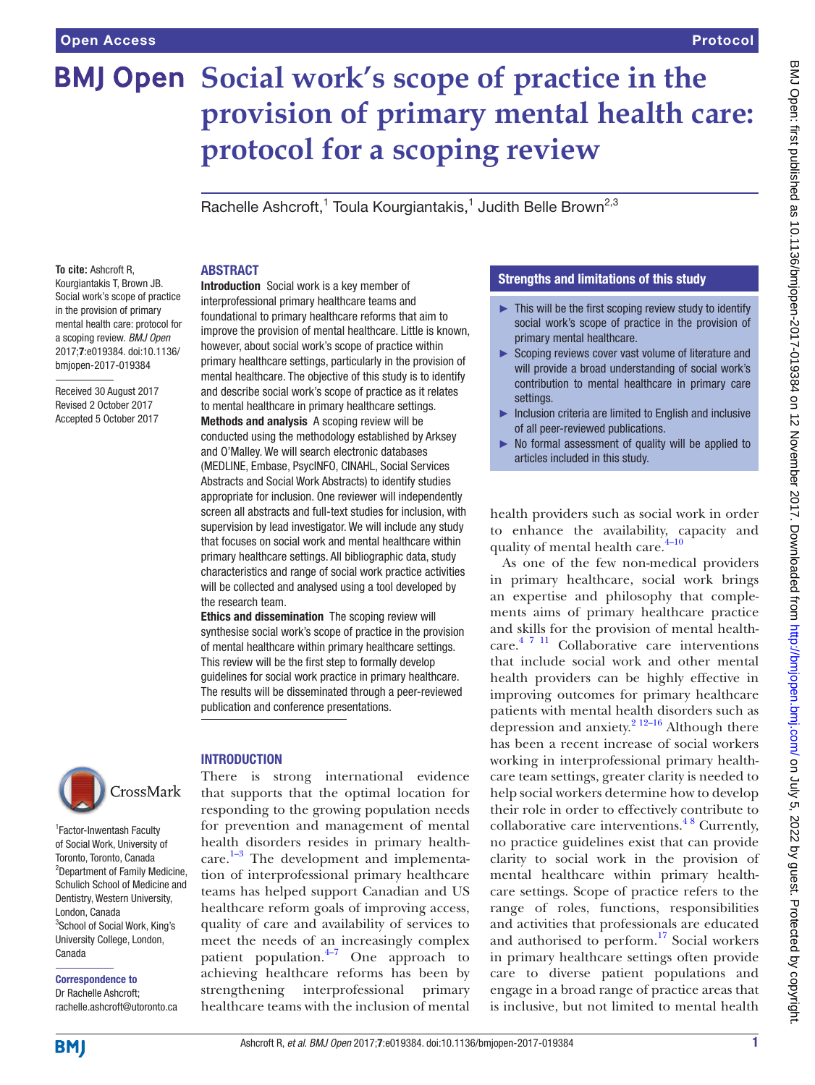# **BMJ Open** Social work's scope of practice in the **provision of primary mental health care: protocol for a scoping review**

Rachelle Ashcroft,<sup>1</sup> Toula Kourgiantakis,<sup>1</sup> Judith Belle Brown<sup>2,3</sup>

#### **To cite:** Ashcroft R, Kourgiantakis T, Brown JB. Social work's scope of practice in the provision of primary mental health care: protocol for a scoping review. *BMJ Open* 2017;7:e019384. doi:10.1136/ bmjopen-2017-019384

Received 30 August 2017 Revised 2 October 2017 Accepted 5 October 2017



1 Factor-Inwentash Faculty of Social Work, University of Toronto, Toronto, Canada <sup>2</sup>Department of Family Medicine, Schulich School of Medicine and Dentistry, Western University, London, Canada 3 School of Social Work, King's University College, London, Canada

Correspondence to Dr Rachelle Ashcroft; rachelle.ashcroft@utoronto.ca

# **ABSTRACT**

Introduction Social work is a key member of interprofessional primary healthcare teams and foundational to primary healthcare reforms that aim to improve the provision of mental healthcare. Little is known, however, about social work's scope of practice within primary healthcare settings, particularly in the provision of mental healthcare. The objective of this study is to identify and describe social work's scope of practice as it relates to mental healthcare in primary healthcare settings. Methods and analysis A scoping review will be conducted using the methodology established by Arksey and O'Malley. We will search electronic databases (MEDLINE, Embase, PsycINFO, CINAHL, Social Services Abstracts and Social Work Abstracts) to identify studies appropriate for inclusion. One reviewer will independently screen all abstracts and full-text studies for inclusion, with supervision by lead investigator. We will include any study that focuses on social work and mental healthcare within primary healthcare settings. All bibliographic data, study characteristics and range of social work practice activities will be collected and analysed using a tool developed by the research team.

Ethics and dissemination The scoping review will synthesise social work's scope of practice in the provision of mental healthcare within primary healthcare settings. This review will be the first step to formally develop guidelines for social work practice in primary healthcare. The results will be disseminated through a peer-reviewed publication and conference presentations.

# **INTRODUCTION**

There is strong international evidence that supports that the optimal location for responding to the growing population needs for prevention and management of mental health disorders resides in primary healthcare.<sup>1-3</sup> The development and implementation of interprofessional primary healthcare teams has helped support Canadian and US healthcare reform goals of improving access, quality of care and availability of services to meet the needs of an increasingly complex patient population. $4\frac{1}{7}$  One approach to achieving healthcare reforms has been by strengthening interprofessional primary healthcare teams with the inclusion of mental

# Strengths and limitations of this study

- ► This will be the first scoping review study to identify social work's scope of practice in the provision of primary mental healthcare.
- ► Scoping reviews cover vast volume of literature and will provide a broad understanding of social work's contribution to mental healthcare in primary care settings.
- ► Inclusion criteria are limited to English and inclusive of all peer-reviewed publications.
- ► No formal assessment of quality will be applied to articles included in this study.

health providers such as social work in order to enhance the availability, capacity and quality of mental health care.<sup>4-10</sup>

As one of the few non-medical providers in primary healthcare, social work brings an expertise and philosophy that complements aims of primary healthcare practice and skills for the provision of mental healthcare. [4 7 11](#page-3-1) Collaborative care interventions that include social work and other mental health providers can be highly effective in improving outcomes for primary healthcare patients with mental health disorders such as depression and anxiety.<sup>[2 12–16](#page-3-2)</sup> Although there has been a recent increase of social workers working in interprofessional primary healthcare team settings, greater clarity is needed to help social workers determine how to develop their role in order to effectively contribute to collaborative care interventions[.4 8](#page-3-1) Currently, no practice guidelines exist that can provide clarity to social work in the provision of mental healthcare within primary healthcare settings. Scope of practice refers to the range of roles, functions, responsibilities and activities that professionals are educated and authorised to perform.<sup>17</sup> Social workers in primary healthcare settings often provide care to diverse patient populations and engage in a broad range of practice areas that is inclusive, but not limited to mental health

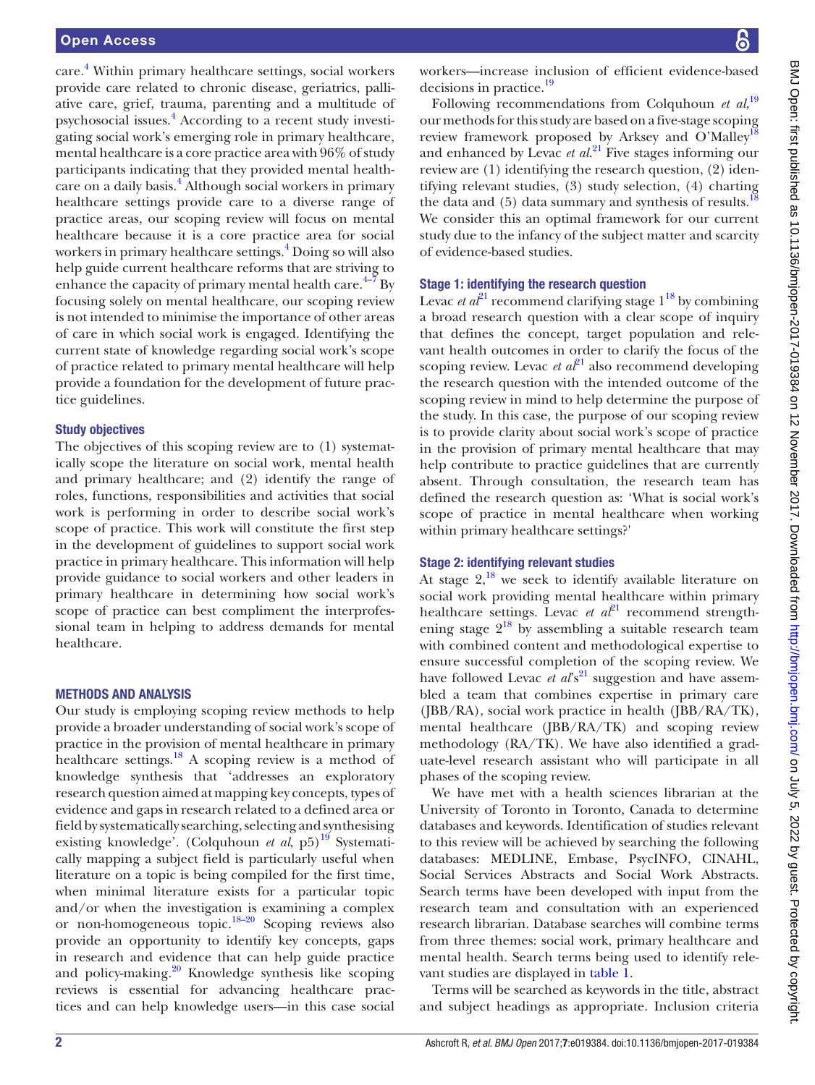care.<sup>4</sup> Within primary healthcare settings, social workers provide care related to chronic disease, geriatrics, palliative care, grief, trauma, parenting and a multitude of psychosocial issues.[4](#page-3-1) According to a recent study investigating social work's emerging role in primary healthcare, mental healthcare is a core practice area with 96% of study participants indicating that they provided mental healthcare on a daily basis.<sup>4</sup> Although social workers in primary healthcare settings provide care to a diverse range of practice areas, our scoping review will focus on mental healthcare because it is a core practice area for social workers in primary healthcare settings.<sup>4</sup> Doing so will also help guide current healthcare reforms that are striving to enhance the capacity of primary mental health care. $4-7$  By focusing solely on mental healthcare, our scoping review is not intended to minimise the importance of other areas of care in which social work is engaged. Identifying the current state of knowledge regarding social work's scope of practice related to primary mental healthcare will help provide a foundation for the development of future practice guidelines.

## Study objectives

The objectives of this scoping review are to (1) systematically scope the literature on social work, mental health and primary healthcare; and (2) identify the range of roles, functions, responsibilities and activities that social work is performing in order to describe social work's scope of practice. This work will constitute the first step in the development of guidelines to support social work practice in primary healthcare. This information will help provide guidance to social workers and other leaders in primary healthcare in determining how social work's scope of practice can best compliment the interprofessional team in helping to address demands for mental healthcare.

### Methods and analysis

Our study is employing scoping review methods to help provide a broader understanding of social work's scope of practice in the provision of mental healthcare in primary healthcare settings. $^{18}$  A scoping review is a method of knowledge synthesis that 'addresses an exploratory research question aimed at mapping key concepts, types of evidence and gaps in research related to a defined area or field by systematically searching, selecting and synthesising existing knowledge'. (Colquhoun *et al*, p5)<sup>[19](#page-3-5)</sup> Systematically mapping a subject field is particularly useful when literature on a topic is being compiled for the first time, when minimal literature exists for a particular topic and/or when the investigation is examining a complex or non-homogeneous topic[.18–20](#page-3-4) Scoping reviews also provide an opportunity to identify key concepts, gaps in research and evidence that can help guide practice and policy-making. $20$  Knowledge synthesis like scoping reviews is essential for advancing healthcare practices and can help knowledge users—in this case social

workers—increase inclusion of efficient evidence-based decisions in practice.<sup>19</sup>

Following recommendations from Colquhoun *et al*,<sup>[19](#page-3-5)</sup> our methods for this study are based on a five-stage scoping review framework proposed by Arksey and O'Malley<sup>[18](#page-3-4)</sup> and enhanced by Levac *et al*. [21](#page-3-7) Five stages informing our review are (1) identifying the research question, (2) identifying relevant studies, (3) study selection, (4) charting the data and  $(5)$  data summary and synthesis of results.<sup>1</sup> We consider this an optimal framework for our current study due to the infancy of the subject matter and scarcity of evidence-based studies.

# Stage 1: identifying the research question

Levac *et al*<sup>21</sup> recommend clarifying stage  $1^{18}$  by combining a broad research question with a clear scope of inquiry that defines the concept, target population and relevant health outcomes in order to clarify the focus of the scoping review. Levac *et al*<sup>[21](#page-3-7)</sup> also recommend developing the research question with the intended outcome of the scoping review in mind to help determine the purpose of the study. In this case, the purpose of our scoping review is to provide clarity about social work's scope of practice in the provision of primary mental healthcare that may help contribute to practice guidelines that are currently absent. Through consultation, the research team has defined the research question as: 'What is social work's scope of practice in mental healthcare when working within primary healthcare settings?'

# Stage 2: identifying relevant studies

At stage  $2<sup>18</sup>$  we seek to identify available literature on social work providing mental healthcare within primary healthcare settings. Levac *et al*<sup>[21](#page-3-7)</sup> recommend strengthening stage  $2^{18}$  $2^{18}$  $2^{18}$  by assembling a suitable research team with combined content and methodological expertise to ensure successful completion of the scoping review. We have followed Levac *et al*<sup>821</sup> suggestion and have assembled a team that combines expertise in primary care  $(IBB/RA)$ , social work practice in health  $(IBB/RA/TK)$ , mental healthcare (JBB/RA/TK) and scoping review methodology (RA/TK). We have also identified a graduate-level research assistant who will participate in all phases of the scoping review.

We have met with a health sciences librarian at the University of Toronto in Toronto, Canada to determine databases and keywords. Identification of studies relevant to this review will be achieved by searching the following databases: MEDLINE, Embase, PsycINFO, CINAHL, Social Services Abstracts and Social Work Abstracts. Search terms have been developed with input from the research team and consultation with an experienced research librarian. Database searches will combine terms from three themes: social work, primary healthcare and mental health. Search terms being used to identify relevant studies are displayed in [table](#page-2-0) 1.

Terms will be searched as keywords in the title, abstract and subject headings as appropriate. Inclusion criteria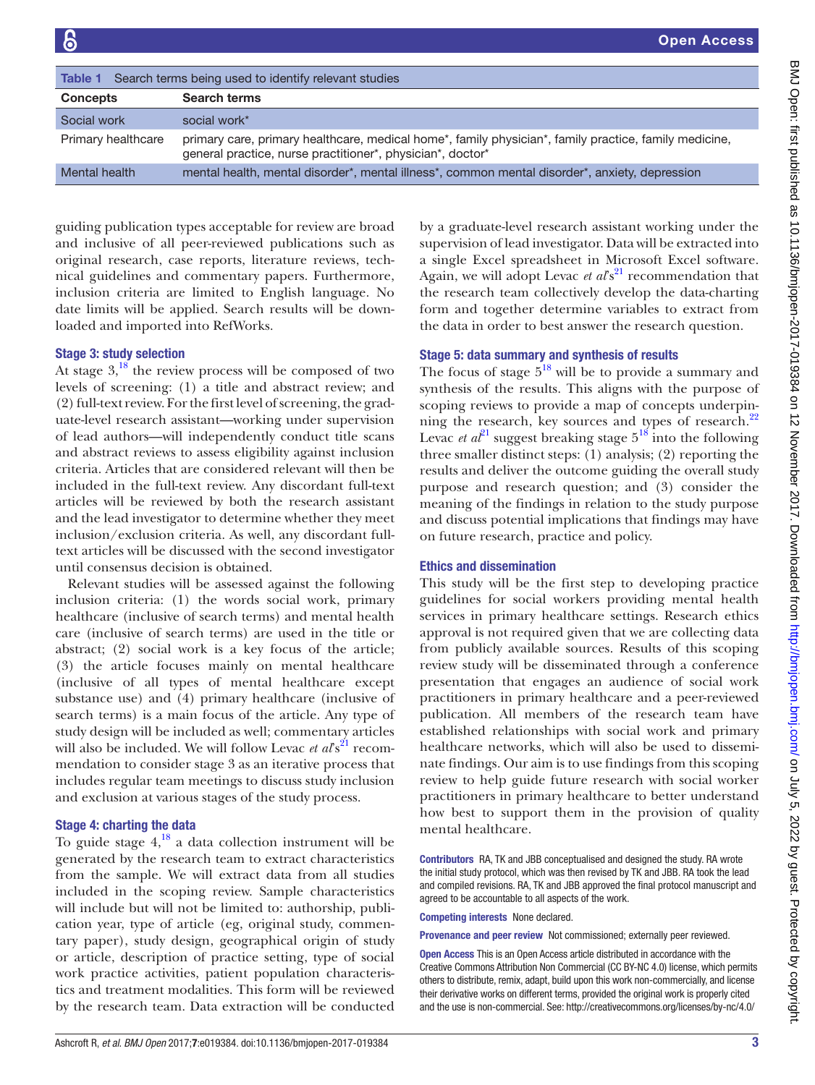<span id="page-2-0"></span>

| <b>Concepts</b>    | Search terms                                                                                                                                                        |
|--------------------|---------------------------------------------------------------------------------------------------------------------------------------------------------------------|
| Social work        | social work*                                                                                                                                                        |
| Primary healthcare | primary care, primary healthcare, medical home*, family physician*, family practice, family medicine,<br>general practice, nurse practitioner*, physician*, doctor* |
| Mental health      | mental health, mental disorder*, mental illness*, common mental disorder*, anxiety, depression                                                                      |

guiding publication types acceptable for review are broad and inclusive of all peer-reviewed publications such as original research, case reports, literature reviews, technical guidelines and commentary papers. Furthermore, inclusion criteria are limited to English language. No date limits will be applied. Search results will be downloaded and imported into RefWorks.

# Stage 3: study selection

At stage  $3<sup>18</sup>$ , the review process will be composed of two levels of screening: (1) a title and abstract review; and (2) full-text review. For the first level of screening, the graduate-level research assistant—working under supervision of lead authors—will independently conduct title scans and abstract reviews to assess eligibility against inclusion criteria. Articles that are considered relevant will then be included in the full-text review. Any discordant full-text articles will be reviewed by both the research assistant and the lead investigator to determine whether they meet inclusion/exclusion criteria. As well, any discordant fulltext articles will be discussed with the second investigator until consensus decision is obtained.

Relevant studies will be assessed against the following inclusion criteria: (1) the words social work, primary healthcare (inclusive of search terms) and mental health care (inclusive of search terms) are used in the title or abstract; (2) social work is a key focus of the article; (3) the article focuses mainly on mental healthcare (inclusive of all types of mental healthcare except substance use) and (4) primary healthcare (inclusive of search terms) is a main focus of the article. Any type of study design will be included as well; commentary articles will also be included. We will follow Levac *et al*<sup>82</sup> recommendation to consider stage 3 as an iterative process that includes regular team meetings to discuss study inclusion and exclusion at various stages of the study process.

# Stage 4: charting the data

To guide stage  $4<sup>18</sup>$  a data collection instrument will be generated by the research team to extract characteristics from the sample. We will extract data from all studies included in the scoping review. Sample characteristics will include but will not be limited to: authorship, publication year, type of article (eg, original study, commentary paper), study design, geographical origin of study or article, description of practice setting, type of social work practice activities, patient population characteristics and treatment modalities. This form will be reviewed by the research team. Data extraction will be conducted

by a graduate-level research assistant working under the supervision of lead investigator. Data will be extracted into a single Excel spreadsheet in Microsoft Excel software. Again, we will adopt Levac *et al*<sup>82</sup> recommendation that the research team collectively develop the data-charting form and together determine variables to extract from the data in order to best answer the research question.

## Stage 5: data summary and synthesis of results

The focus of stage  $5^{18}$  $5^{18}$  $5^{18}$  will be to provide a summary and synthesis of the results. This aligns with the purpose of scoping reviews to provide a map of concepts underpin-ning the research, key sources and types of research.<sup>[22](#page-3-8)</sup> Levac *et al*<sup>[21](#page-3-7)</sup> suggest breaking stage  $5^{18}$  into the following three smaller distinct steps: (1) analysis; (2) reporting the results and deliver the outcome guiding the overall study purpose and research question; and (3) consider the meaning of the findings in relation to the study purpose and discuss potential implications that findings may have on future research, practice and policy.

### Ethics and dissemination

This study will be the first step to developing practice guidelines for social workers providing mental health services in primary healthcare settings. Research ethics approval is not required given that we are collecting data from publicly available sources. Results of this scoping review study will be disseminated through a conference presentation that engages an audience of social work practitioners in primary healthcare and a peer-reviewed publication. All members of the research team have established relationships with social work and primary healthcare networks, which will also be used to disseminate findings. Our aim is to use findings from this scoping review to help guide future research with social worker practitioners in primary healthcare to better understand how best to support them in the provision of quality mental healthcare.

Contributors RA, TK and JBB conceptualised and designed the study. RA wrote the initial study protocol, which was then revised by TK and JBB. RA took the lead and compiled revisions. RA, TK and JBB approved the final protocol manuscript and agreed to be accountable to all aspects of the work.

Competing interests None declared.

Provenance and peer review Not commissioned; externally peer reviewed.

Open Access This is an Open Access article distributed in accordance with the Creative Commons Attribution Non Commercial (CC BY-NC 4.0) license, which permits others to distribute, remix, adapt, build upon this work non-commercially, and license their derivative works on different terms, provided the original work is properly cited and the use is non-commercial. See:<http://creativecommons.org/licenses/by-nc/4.0/>